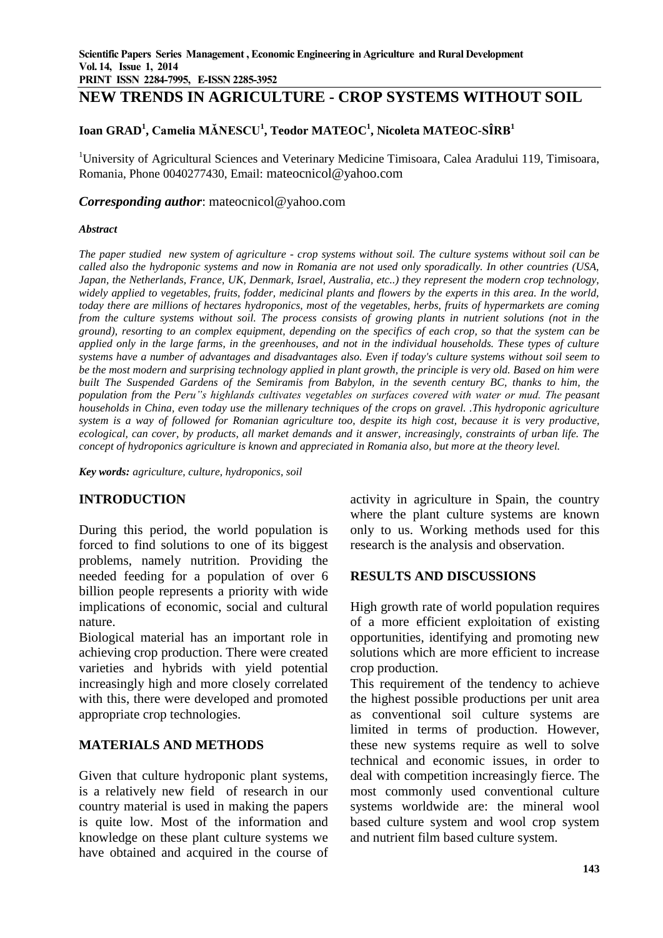# **NEW TRENDS IN AGRICULTURE - CROP SYSTEMS WITHOUT SOIL**

### **Ioan GRAD<sup>1</sup> , Camelia MĂNESCU<sup>1</sup> , Teodor MATEOC<sup>1</sup> , Nicoleta MATEOC-SÎRB<sup>1</sup>**

<sup>1</sup>University of Agricultural Sciences and Veterinary Medicine Timisoara, Calea Aradului 119, Timisoara, Romania, Phone 0040277430, Email: mateocnicol@yahoo.com

#### *Corresponding author*: mateocnicol@yahoo.com

#### *Abstract*

*The paper studied new system of agriculture - crop systems without soil. The culture systems without soil can be called also the hydroponic systems and now in Romania are not used only sporadically. In other countries (USA, Japan, the Netherlands, France, UK, Denmark, Israel, Australia, etc..) they represent the modern crop technology, widely applied to vegetables, fruits, fodder, medicinal plants and flowers by the experts in this area. In the world, today there are millions of hectares hydroponics, most of the vegetables, herbs, fruits of hypermarkets are coming from the culture systems without soil. The process consists of growing plants in nutrient solutions (not in the ground), resorting to an complex equipment, depending on the specifics of each crop, so that the system can be applied only in the large farms, in the greenhouses, and not in the individual households. These types of culture systems have a number of advantages and disadvantages also. Even if today's culture systems without soil seem to be the most modern and surprising technology applied in plant growth, the principle is very old. Based on him were built The Suspended Gardens of the Semiramis from Babylon, in the seventh century BC, thanks to him, the population from the Peru"s highlands cultivates vegetables on surfaces covered with water or mud. The peasant households in China, even today use the millenary techniques of the crops on gravel. .This hydroponic agriculture system is a way of followed for Romanian agriculture too, despite its high cost, because it is very productive, ecological, can cover, by products, all market demands and it answer, increasingly, constraints of urban life. The concept of hydroponics agriculture is known and appreciated in Romania also, but more at the theory level.*

*Key words: agriculture, culture, hydroponics, soil*

### **INTRODUCTION**

During this period, the world population is forced to find solutions to one of its biggest problems, namely nutrition. Providing the needed feeding for a population of over 6 billion people represents a priority with wide implications of economic, social and cultural nature.

Biological material has an important role in achieving crop production. There were created varieties and hybrids with yield potential increasingly high and more closely correlated with this, there were developed and promoted appropriate crop technologies.

### **MATERIALS AND METHODS**

Given that culture hydroponic plant systems, is a relatively new field of research in our country material is used in making the papers is quite low. Most of the information and knowledge on these plant culture systems we have obtained and acquired in the course of

activity in agriculture in Spain, the country where the plant culture systems are known only to us. Working methods used for this research is the analysis and observation.

#### **RESULTS AND DISCUSSIONS**

High growth rate of world population requires of a more efficient exploitation of existing opportunities, identifying and promoting new solutions which are more efficient to increase crop production.

This requirement of the tendency to achieve the highest possible productions per unit area as conventional soil culture systems are limited in terms of production. However, these new systems require as well to solve technical and economic issues, in order to deal with competition increasingly fierce. The most commonly used conventional culture systems worldwide are: the mineral wool based culture system and wool crop system and nutrient film based culture system.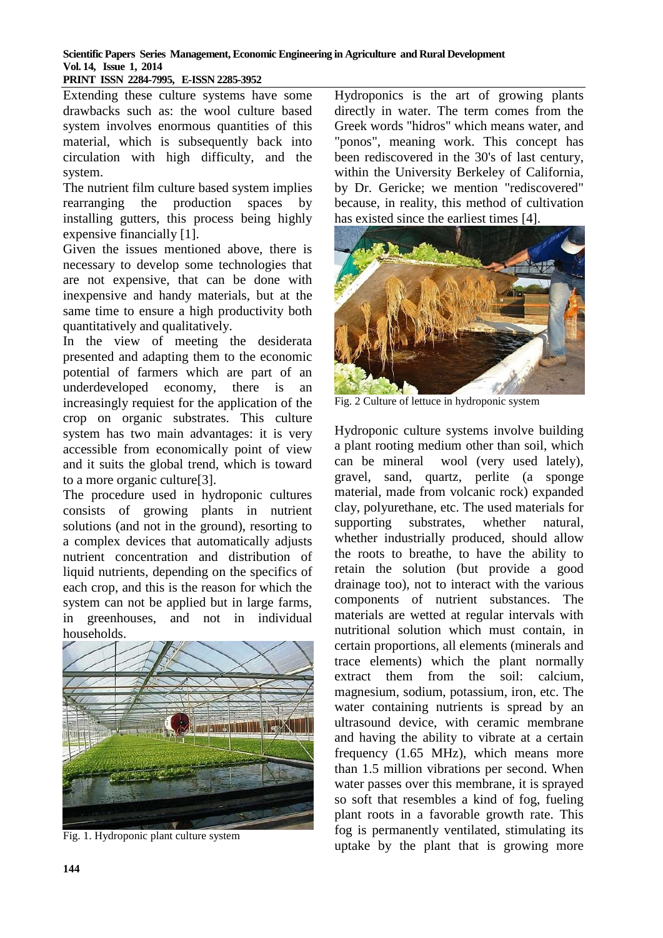### **Scientific Papers Series Management, Economic Engineering in Agriculture and Rural Development Vol. 14, Issue 1, 2014**

## **PRINT ISSN 2284-7995, E-ISSN 2285-3952**

Extending these culture systems have some drawbacks such as: the wool culture based system involves enormous quantities of this material, which is subsequently back into circulation with high difficulty, and the system.

The nutrient film culture based system implies rearranging the production spaces by installing gutters, this process being highly expensive financially [1].

Given the issues mentioned above, there is necessary to develop some technologies that are not expensive, that can be done with inexpensive and handy materials, but at the same time to ensure a high productivity both quantitatively and qualitatively.

In the view of meeting the desiderata presented and adapting them to the economic potential of farmers which are part of an underdeveloped economy, there is an increasingly requiest for the application of the crop on organic substrates. This culture system has two main advantages: it is very accessible from economically point of view and it suits the global trend, which is toward to a more organic culture[3].

The procedure used in hydroponic cultures consists of growing plants in nutrient solutions (and not in the ground), resorting to a complex devices that automatically adjusts nutrient concentration and distribution of liquid nutrients, depending on the specifics of each crop, and this is the reason for which the system can not be applied but in large farms, in greenhouses, and not in individual households.



Fig. 1. Hydroponic plant culture system

Hydroponics is the art of growing plants directly in water. The term comes from the Greek words "hidros" which means water, and "ponos", meaning work. This concept has been rediscovered in the 30's of last century, within the University Berkeley of California, by Dr. Gericke; we mention "rediscovered" because, in reality, this method of cultivation has existed since the earliest times [4].



Fig. 2 Culture of lettuce in hydroponic system

Hydroponic culture systems involve building a plant rooting medium other than soil, which can be mineral wool (very used lately), gravel, sand, quartz, perlite (a sponge material, made from volcanic rock) expanded clay, polyurethane, etc. The used materials for supporting substrates, whether natural, whether industrially produced, should allow the roots to breathe, to have the ability to retain the solution (but provide a good drainage too), not to interact with the various components of nutrient substances. The materials are wetted at regular intervals with nutritional solution which must contain, in certain proportions, all elements (minerals and trace elements) which the plant normally extract them from the soil: calcium, magnesium, sodium, potassium, iron, etc. The water containing nutrients is spread by an ultrasound device, with ceramic membrane and having the ability to vibrate at a certain frequency (1.65 MHz), which means more than 1.5 million vibrations per second. When water passes over this membrane, it is sprayed so soft that resembles a kind of fog, fueling plant roots in a favorable growth rate. This fog is permanently ventilated, stimulating its uptake by the plant that is growing more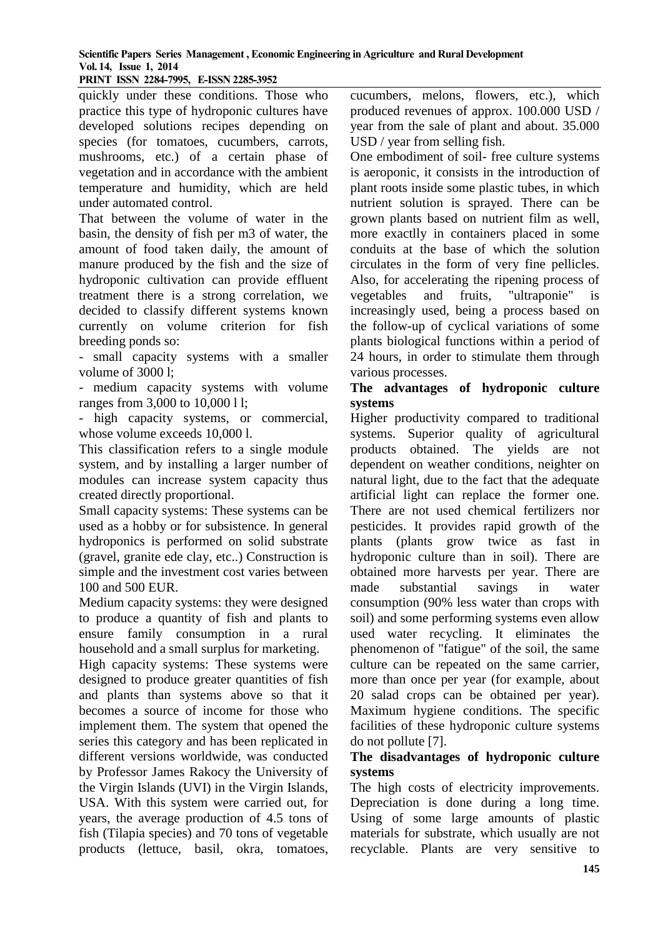### **Scientific Papers Series Management , Economic Engineering in Agriculture and Rural Development Vol. 14, Issue 1, 2014**

#### **PRINT ISSN 2284-7995, E-ISSN 2285-3952**

quickly under these conditions. Those who practice this type of hydroponic cultures have developed solutions recipes depending on species (for tomatoes, cucumbers, carrots, mushrooms, etc.) of a certain phase of vegetation and in accordance with the ambient temperature and humidity, which are held under automated control.

That between the volume of water in the basin, the density of fish per m3 of water, the amount of food taken daily, the amount of manure produced by the fish and the size of hydroponic cultivation can provide effluent treatment there is a strong correlation, we decided to classify different systems known currently on volume criterion for fish breeding ponds so:

- small capacity systems with a smaller volume of 3000 l;

- medium capacity systems with volume ranges from 3,000 to 10,000 l l;

- high capacity systems, or commercial, whose volume exceeds 10,000 l.

This classification refers to a single module system, and by installing a larger number of modules can increase system capacity thus created directly proportional.

Small capacity systems: These systems can be used as a hobby or for subsistence. In general hydroponics is performed on solid substrate (gravel, granite ede clay, etc..) Construction is simple and the investment cost varies between 100 and 500 EUR.

Medium capacity systems: they were designed to produce a quantity of fish and plants to ensure family consumption in a rural household and a small surplus for marketing.

High capacity systems: These systems were designed to produce greater quantities of fish and plants than systems above so that it becomes a source of income for those who implement them. The system that opened the series this category and has been replicated in different versions worldwide, was conducted by Professor James Rakocy the University of the Virgin Islands (UVI) in the Virgin Islands, USA. With this system were carried out, for years, the average production of 4.5 tons of fish (Tilapia species) and 70 tons of vegetable products (lettuce, basil, okra, tomatoes,

cucumbers, melons, flowers, etc.), which produced revenues of approx. 100.000 USD / year from the sale of plant and about. 35.000 USD / year from selling fish.

One embodiment of soil- free culture systems is aeroponic, it consists in the introduction of plant roots inside some plastic tubes, in which nutrient solution is sprayed. There can be grown plants based on nutrient film as well, more exactlly in containers placed in some conduits at the base of which the solution circulates in the form of very fine pellicles. Also, for accelerating the ripening process of vegetables and fruits, "ultraponie" is increasingly used, being a process based on the follow-up of cyclical variations of some plants biological functions within a period of 24 hours, in order to stimulate them through various processes.

### **The advantages of hydroponic culture systems**

Higher productivity compared to traditional systems. Superior quality of agricultural products obtained. The yields are not dependent on weather conditions, neighter on natural light, due to the fact that the adequate artificial light can replace the former one. There are not used chemical fertilizers nor pesticides. It provides rapid growth of the plants (plants grow twice as fast in hydroponic culture than in soil). There are obtained more harvests per year. There are made substantial savings in water consumption (90% less water than crops with soil) and some performing systems even allow used water recycling. It eliminates the phenomenon of "fatigue" of the soil, the same culture can be repeated on the same carrier, more than once per year (for example, about 20 salad crops can be obtained per year). Maximum hygiene conditions. The specific facilities of these hydroponic culture systems do not pollute [7].

## **The disadvantages of hydroponic culture systems**

The high costs of electricity improvements. Depreciation is done during a long time. Using of some large amounts of plastic materials for substrate, which usually are not recyclable. Plants are very sensitive to